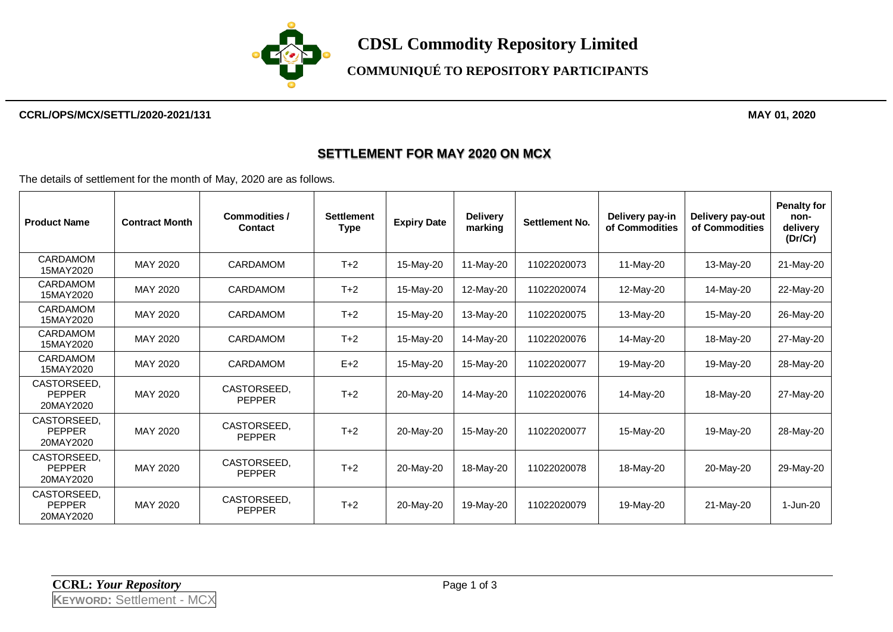

## **COMMUNIQUÉ TO REPOSITORY PARTICIPANTS**

#### **CCRL/OPS/MCX/SETTL/2020-2021/131 MAY 01, 2020**

### **SETTLEMENT FOR MAY 2020 ON MCX**

The details of settlement for the month of May, 2020 are as follows.

| <b>Product Name</b>                       | <b>Contract Month</b> | Commodities /<br><b>Contact</b> | <b>Settlement</b><br><b>Type</b> | <b>Expiry Date</b> | <b>Delivery</b><br>marking | <b>Settlement No.</b> | Delivery pay-in<br>of Commodities | Delivery pay-out<br>of Commodities | <b>Penalty for</b><br>non-<br>delivery<br>(Dr/Cr) |
|-------------------------------------------|-----------------------|---------------------------------|----------------------------------|--------------------|----------------------------|-----------------------|-----------------------------------|------------------------------------|---------------------------------------------------|
| <b>CARDAMOM</b><br>15MAY2020              | MAY 2020              | CARDAMOM                        | $T+2$                            | 15-May-20          | 11-May-20                  | 11022020073           | 11-May-20                         | 13-May-20                          | 21-May-20                                         |
| CARDAMOM<br>15MAY2020                     | MAY 2020              | CARDAMOM                        | $T+2$                            | 15-May-20          | 12-May-20                  | 11022020074           | 12-May-20                         | 14-May-20                          | 22-May-20                                         |
| CARDAMOM<br>15MAY2020                     | MAY 2020              | <b>CARDAMOM</b>                 | $T+2$                            | 15-May-20          | 13-May-20                  | 11022020075           | 13-May-20                         | 15-May-20                          | 26-May-20                                         |
| <b>CARDAMOM</b><br>15MAY2020              | MAY 2020              | <b>CARDAMOM</b>                 | $T+2$                            | 15-May-20          | 14-May-20                  | 11022020076           | 14-May-20                         | 18-May-20                          | 27-May-20                                         |
| <b>CARDAMOM</b><br>15MAY2020              | MAY 2020              | CARDAMOM                        | $E+2$                            | 15-May-20          | 15-May-20                  | 11022020077           | 19-May-20                         | 19-May-20                          | 28-May-20                                         |
| CASTORSEED,<br><b>PEPPER</b><br>20MAY2020 | MAY 2020              | CASTORSEED,<br><b>PEPPER</b>    | $T+2$                            | 20-May-20          | 14-May-20                  | 11022020076           | 14-May-20                         | 18-May-20                          | 27-May-20                                         |
| CASTORSEED.<br><b>PEPPER</b><br>20MAY2020 | MAY 2020              | CASTORSEED.<br><b>PEPPER</b>    | $T+2$                            | 20-May-20          | 15-May-20                  | 11022020077           | 15-May-20                         | 19-May-20                          | 28-May-20                                         |
| CASTORSEED.<br><b>PEPPER</b><br>20MAY2020 | MAY 2020              | CASTORSEED.<br><b>PEPPER</b>    | $T+2$                            | 20-May-20          | 18-May-20                  | 11022020078           | 18-May-20                         | 20-May-20                          | 29-May-20                                         |
| CASTORSEED,<br><b>PEPPER</b><br>20MAY2020 | MAY 2020              | CASTORSEED.<br><b>PEPPER</b>    | $T+2$                            | 20-May-20          | 19-May-20                  | 11022020079           | 19-May-20                         | 21-May-20                          | 1-Jun-20                                          |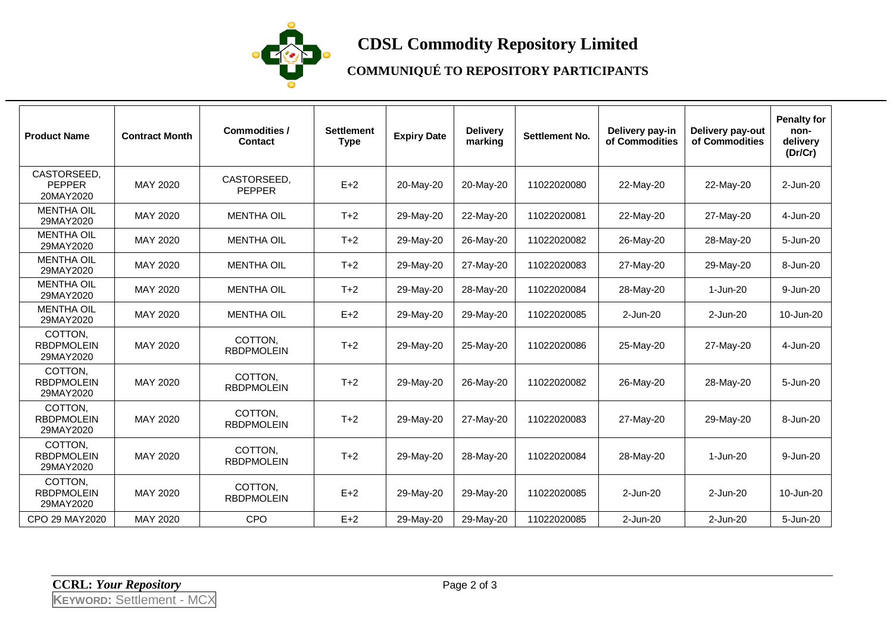

# **CDSL Commodity Repository Limited**

# **COMMUNIQUÉ TO REPOSITORY PARTICIPANTS**

| <b>Product Name</b>                       | <b>Contract Month</b> | Commodities /<br><b>Contact</b> | <b>Settlement</b><br><b>Type</b> | <b>Expiry Date</b> | <b>Delivery</b><br>marking | <b>Settlement No.</b> | Delivery pay-in<br>of Commodities | Delivery pay-out<br>of Commodities | <b>Penalty for</b><br>non-<br>delivery<br>(Dr/Cr) |
|-------------------------------------------|-----------------------|---------------------------------|----------------------------------|--------------------|----------------------------|-----------------------|-----------------------------------|------------------------------------|---------------------------------------------------|
| CASTORSEED,<br><b>PEPPER</b><br>20MAY2020 | MAY 2020              | CASTORSEED,<br><b>PEPPER</b>    | $E+2$                            | 20-May-20          | 20-May-20                  | 11022020080           | 22-May-20                         | 22-May-20                          | 2-Jun-20                                          |
| <b>MENTHA OIL</b><br>29MAY2020            | MAY 2020              | <b>MENTHA OIL</b>               | $T+2$                            | 29-May-20          | 22-May-20                  | 11022020081           | 22-May-20                         | 27-May-20                          | 4-Jun-20                                          |
| <b>MENTHA OIL</b><br>29MAY2020            | MAY 2020              | <b>MENTHA OIL</b>               | $T+2$                            | 29-May-20          | 26-May-20                  | 11022020082           | 26-May-20                         | 28-May-20                          | 5-Jun-20                                          |
| <b>MENTHA OIL</b><br>29MAY2020            | MAY 2020              | <b>MENTHA OIL</b>               | $T+2$                            | 29-May-20          | 27-May-20                  | 11022020083           | 27-May-20                         | 29-May-20                          | 8-Jun-20                                          |
| <b>MENTHA OIL</b><br>29MAY2020            | MAY 2020              | <b>MENTHA OIL</b>               | $T+2$                            | 29-May-20          | 28-May-20                  | 11022020084           | 28-May-20                         | 1-Jun-20                           | 9-Jun-20                                          |
| <b>MENTHA OIL</b><br>29MAY2020            | MAY 2020              | <b>MENTHA OIL</b>               | $E+2$                            | 29-May-20          | 29-May-20                  | 11022020085           | 2-Jun-20                          | 2-Jun-20                           | 10-Jun-20                                         |
| COTTON,<br><b>RBDPMOLEIN</b><br>29MAY2020 | MAY 2020              | COTTON.<br><b>RBDPMOLEIN</b>    | $T+2$                            | 29-May-20          | 25-May-20                  | 11022020086           | 25-May-20                         | 27-May-20                          | 4-Jun-20                                          |
| COTTON,<br><b>RBDPMOLEIN</b><br>29MAY2020 | MAY 2020              | COTTON,<br><b>RBDPMOLEIN</b>    | $T+2$                            | 29-May-20          | 26-May-20                  | 11022020082           | 26-May-20                         | 28-May-20                          | 5-Jun-20                                          |
| COTTON.<br><b>RBDPMOLEIN</b><br>29MAY2020 | MAY 2020              | COTTON.<br><b>RBDPMOLEIN</b>    | $T+2$                            | 29-May-20          | 27-May-20                  | 11022020083           | 27-May-20                         | 29-May-20                          | 8-Jun-20                                          |
| COTTON,<br><b>RBDPMOLEIN</b><br>29MAY2020 | MAY 2020              | COTTON,<br><b>RBDPMOLEIN</b>    | $T+2$                            | 29-May-20          | 28-May-20                  | 11022020084           | 28-May-20                         | 1-Jun-20                           | 9-Jun-20                                          |
| COTTON.<br><b>RBDPMOLEIN</b><br>29MAY2020 | MAY 2020              | COTTON.<br><b>RBDPMOLEIN</b>    | $E+2$                            | 29-May-20          | 29-May-20                  | 11022020085           | 2-Jun-20                          | 2-Jun-20                           | 10-Jun-20                                         |
| CPO 29 MAY2020                            | MAY 2020              | <b>CPO</b>                      | $E+2$                            | 29-May-20          | 29-May-20                  | 11022020085           | 2-Jun-20                          | 2-Jun-20                           | 5-Jun-20                                          |